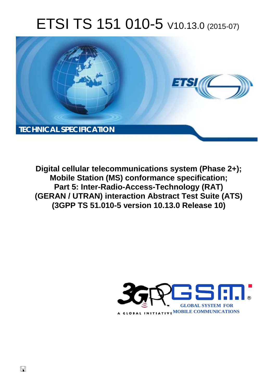# ETSI TS 151 010-5 V10.13.0 (2015-07)



**Digital cellular telecommunications system (Phase 2+); Mobile Station (MS) conformance specification; Part 5: Inter-Radio-Access-Technology (RAT) (GERAN / UTRAN) interaction Abstract Test Suite (ATS) (3GPP TS 51.010-5 version 10.13.0 Release 10)** 

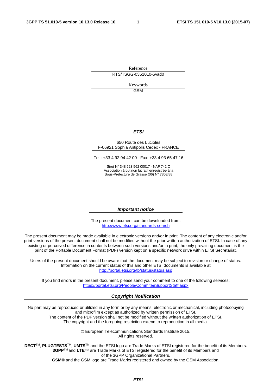Reference RTS/TSGG-0351010-5vad0

> Keywords **GSM**

#### *ETSI*

#### 650 Route des Lucioles F-06921 Sophia Antipolis Cedex - FRANCE

Tel.: +33 4 92 94 42 00 Fax: +33 4 93 65 47 16

Siret N° 348 623 562 00017 - NAF 742 C Association à but non lucratif enregistrée à la Sous-Préfecture de Grasse (06) N° 7803/88

#### *Important notice*

The present document can be downloaded from: <http://www.etsi.org/standards-search>

The present document may be made available in electronic versions and/or in print. The content of any electronic and/or print versions of the present document shall not be modified without the prior written authorization of ETSI. In case of any existing or perceived difference in contents between such versions and/or in print, the only prevailing document is the print of the Portable Document Format (PDF) version kept on a specific network drive within ETSI Secretariat.

Users of the present document should be aware that the document may be subject to revision or change of status. Information on the current status of this and other ETSI documents is available at <http://portal.etsi.org/tb/status/status.asp>

If you find errors in the present document, please send your comment to one of the following services: <https://portal.etsi.org/People/CommiteeSupportStaff.aspx>

#### *Copyright Notification*

No part may be reproduced or utilized in any form or by any means, electronic or mechanical, including photocopying and microfilm except as authorized by written permission of ETSI. The content of the PDF version shall not be modified without the written authorization of ETSI.

The copyright and the foregoing restriction extend to reproduction in all media.

© European Telecommunications Standards Institute 2015. All rights reserved.

**DECT**TM, **PLUGTESTS**TM, **UMTS**TM and the ETSI logo are Trade Marks of ETSI registered for the benefit of its Members. **3GPP**TM and **LTE**™ are Trade Marks of ETSI registered for the benefit of its Members and of the 3GPP Organizational Partners.

**GSM**® and the GSM logo are Trade Marks registered and owned by the GSM Association.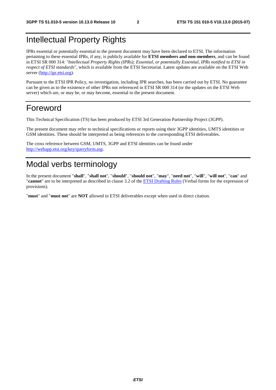### Intellectual Property Rights

IPRs essential or potentially essential to the present document may have been declared to ETSI. The information pertaining to these essential IPRs, if any, is publicly available for **ETSI members and non-members**, and can be found in ETSI SR 000 314: *"Intellectual Property Rights (IPRs); Essential, or potentially Essential, IPRs notified to ETSI in respect of ETSI standards"*, which is available from the ETSI Secretariat. Latest updates are available on the ETSI Web server [\(http://ipr.etsi.org\)](http://webapp.etsi.org/IPR/home.asp).

Pursuant to the ETSI IPR Policy, no investigation, including IPR searches, has been carried out by ETSI. No guarantee can be given as to the existence of other IPRs not referenced in ETSI SR 000 314 (or the updates on the ETSI Web server) which are, or may be, or may become, essential to the present document.

#### Foreword

This Technical Specification (TS) has been produced by ETSI 3rd Generation Partnership Project (3GPP).

The present document may refer to technical specifications or reports using their 3GPP identities, UMTS identities or GSM identities. These should be interpreted as being references to the corresponding ETSI deliverables.

The cross reference between GSM, UMTS, 3GPP and ETSI identities can be found under <http://webapp.etsi.org/key/queryform.asp>.

### Modal verbs terminology

In the present document "**shall**", "**shall not**", "**should**", "**should not**", "**may**", "**need not**", "**will**", "**will not**", "**can**" and "**cannot**" are to be interpreted as described in clause 3.2 of the [ETSI Drafting Rules](http://portal.etsi.org/Help/editHelp!/Howtostart/ETSIDraftingRules.aspx) (Verbal forms for the expression of provisions).

"**must**" and "**must not**" are **NOT** allowed in ETSI deliverables except when used in direct citation.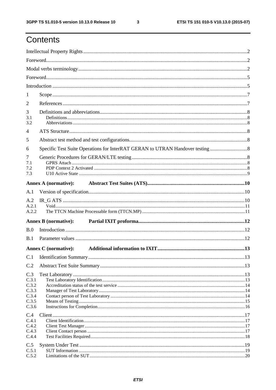$\mathbf{3}$ 

## Contents

| 1                                                         |                                                                             |  |
|-----------------------------------------------------------|-----------------------------------------------------------------------------|--|
| 2                                                         |                                                                             |  |
| 3<br>3.1<br>3.2                                           |                                                                             |  |
| 4                                                         |                                                                             |  |
| 5                                                         |                                                                             |  |
| 6                                                         | Specific Test Suite Operations for InterRAT GERAN to UTRAN Handover testing |  |
| 7<br>7.1<br>7.2<br>7.3                                    |                                                                             |  |
|                                                           | <b>Annex A (normative):</b>                                                 |  |
| A.1                                                       |                                                                             |  |
| A.2                                                       |                                                                             |  |
| A.2.1<br>A.2.2                                            |                                                                             |  |
|                                                           | <b>Annex B</b> (normative):                                                 |  |
| B.0                                                       |                                                                             |  |
| B.1                                                       |                                                                             |  |
|                                                           |                                                                             |  |
|                                                           | <b>Annex C</b> (normative):                                                 |  |
| C.1                                                       |                                                                             |  |
| C.2                                                       |                                                                             |  |
| C.3<br>C.3.1<br>C.3.2<br>C.3.3<br>C.3.4<br>C.3.5<br>C.3.6 |                                                                             |  |
| C.4<br>C.4.1<br>C.4.2<br>C.4.3<br>C.4.4                   |                                                                             |  |
| C.5<br>C.5.1<br>C.5.2                                     |                                                                             |  |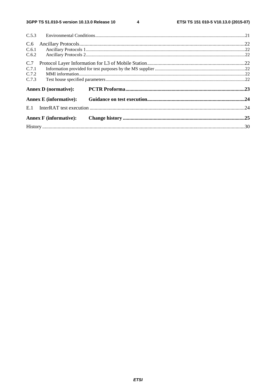$\overline{\mathbf{4}}$ 

| C.5.3 |                               |  |
|-------|-------------------------------|--|
| C.6   |                               |  |
| C.6.1 |                               |  |
| C.6.2 |                               |  |
| C.7   |                               |  |
| C.7.1 |                               |  |
| C.7.2 |                               |  |
| C.7.3 |                               |  |
|       | <b>Annex D</b> (normative):   |  |
|       | <b>Annex E</b> (informative): |  |
| E.1   |                               |  |
|       | <b>Annex F</b> (informative): |  |
|       |                               |  |
|       |                               |  |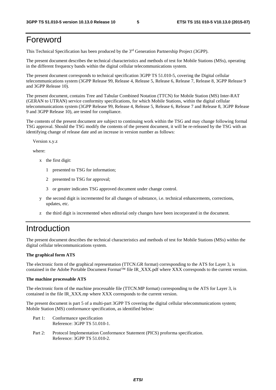### Foreword

This Technical Specification has been produced by the 3rd Generation Partnership Project (3GPP).

The present document describes the technical characteristics and methods of test for Mobile Stations (MSs), operating in the different frequency bands within the digital cellular telecommunications system.

The present document corresponds to technical specification 3GPP TS 51.010-5, covering the Digital cellular telecommunications system (3GPP Release 99, Release 4, Release 5, Release 6, Release 7, Release 8, 3GPP Release 9 and 3GPP Release 10).

The present document, contains Tree and Tabular Combined Notation (TTCN) for Mobile Station (MS) Inter-RAT (GERAN to UTRAN) service conformity specifications, for which Mobile Stations, within the digital cellular telecommunications system (3GPP Release 99, Release 4, Release 5, Release 6, Release 7 and Release 8, 3GPP Release 9 and 3GPP Release 10), are tested for compliance.

The contents of the present document are subject to continuing work within the TSG and may change following formal TSG approval. Should the TSG modify the contents of the present document, it will be re-released by the TSG with an identifying change of release date and an increase in version number as follows:

Version x.y.z

where:

- x the first digit:
	- 1 presented to TSG for information;
	- 2 presented to TSG for approval;
	- 3 or greater indicates TSG approved document under change control.
- y the second digit is incremented for all changes of substance, i.e. technical enhancements, corrections, updates, etc.
- z the third digit is incremented when editorial only changes have been incorporated in the document.

#### Introduction

The present document describes the technical characteristics and methods of test for Mobile Stations (MSs) within the digital cellular telecommunications system.

#### **The graphical form ATS**

The electronic form of the graphical representation (TTCN.GR format) corresponding to the ATS for Layer 3, is contained in the Adobe Portable Document Format™ file IR\_XXX.pdf where XXX corresponds to the current version.

#### **The machine processable ATS**

The electronic form of the machine processable file (TTCN.MP format) corresponding to the ATS for Layer 3, is contained in the file IR\_XXX.mp where XXX corresponds to the current version.

The present document is part 5 of a multi-part 3GPP TS covering the digital cellular telecommunications system; Mobile Station (MS) conformance specification, as identified below:

- Part 1: Conformance specification Reference: 3GPP TS 51.010-1.
- Part 2: Protocol Implementation Conformance Statement (PICS) proforma specification. Reference: 3GPP TS 51.010-2.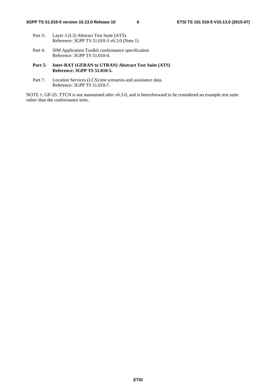- Part 3: Layer 3 (L3) Abstract Test Suite (ATS). Reference: 3GPP TS 51.010-3 v6.3.0 (Note 1)
- Part 4: SIM Application Toolkit conformance specification Reference: 3GPP TS 51.010-4.
- **Part 5: Inter-RAT (GERAN to UTRAN) Abstract Test Suite (ATS) Reference: 3GPP TS 51.010-5.**
- Part 7: Location Services (LCS) test scenarios and assistance data. Reference: 3GPP TS 51.010-7.

NOTE 1: GP-25: TTCN is not maintained after v6.3.0, and is henceforward to be considered an example test suite rather than the conformance tests.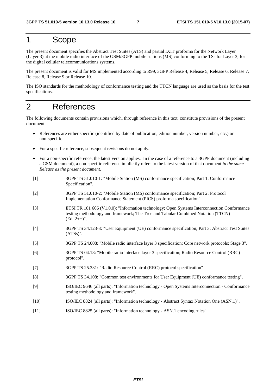#### 1 Scope

The present document specifies the Abstract Test Suites (ATS) and partial IXIT proforma for the Network Layer (Layer 3) at the mobile radio interface of the GSM/3GPP mobile stations (MS) conforming to the TSs for Layer 3, for the digital cellular telecommunications systems.

The present document is valid for MS implemented according to R99, 3GPP Release 4, Release 5, Release 6, Release 7, Release 8, Release 9 or Release 10.

The ISO standards for the methodology of conformance testing and the TTCN language are used as the basis for the test specifications.

### 2 References

The following documents contain provisions which, through reference in this text, constitute provisions of the present document.

- References are either specific (identified by date of publication, edition number, version number, etc.) or non-specific.
- For a specific reference, subsequent revisions do not apply.
- For a non-specific reference, the latest version applies. In the case of a reference to a 3GPP document (including a GSM document), a non-specific reference implicitly refers to the latest version of that document *in the same Release as the present document*.
- [1] 3GPP TS 51.010-1: "Mobile Station (MS) conformance specification; Part 1: Conformance Specification".
- [2] 3GPP TS 51.010-2: "Mobile Station (MS) conformance specification; Part 2: Protocol Implementation Conformance Statement (PICS) proforma specification".
- [3] ETSI TR 101 666 (V1.0.0): "Information technology; Open Systems Interconnection Conformance testing methodology and framework; The Tree and Tabular Combined Notation (TTCN)  $(Ed. 2++)$ ".
- [4] 3GPP TS 34.123-3: "User Equipment (UE) conformance specification; Part 3: Abstract Test Suites (ATSs)".
- [5] 3GPP TS 24.008: "Mobile radio interface layer 3 specification; Core network protocols; Stage 3".
- [6] 3GPP TS 04.18: "Mobile radio interface layer 3 specification; Radio Resource Control (RRC) protocol".
- [7] 3GPP TS 25.331: "Radio Resource Control (RRC) protocol specification"
- [8] 3GPP TS 34.108: "Common test environments for User Equipment (UE) conformance testing".
- [9] ISO/IEC 9646 (all parts): "Information technology Open Systems Interconnection Conformance testing methodology and framework".
- [10] ISO/IEC 8824 (all parts): "Information technology Abstract Syntax Notation One (ASN.1)".
- [11] ISO/IEC 8825 (all parts): "Information technology ASN.1 encoding rules".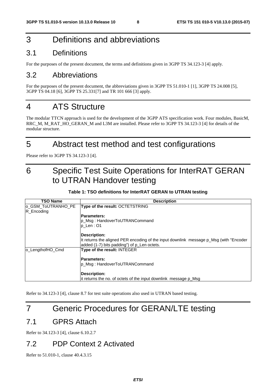### 3 Definitions and abbreviations

#### 3.1 Definitions

For the purposes of the present document, the terms and definitions given in 3GPP TS 34.123-3 [4] apply.

#### 3.2 Abbreviations

For the purposes of the present document, the abbreviations given in 3GPP TS 51.010-1 [1], 3GPP TS 24.008 [5], 3GPP TS 04.18 [6], 3GPP TS 25.331[7] and TR 101 666 [3] apply.

### 4 ATS Structure

The modular TTCN approach is used for the development of the 3GPP ATS specification work. Four modules, BasicM, RRC\_M, M\_RAT\_HO\_GERAN\_M and L3M are installed. Please refer to 3GPP TS 34.123-3 [4] for details of the modular structure.

### 5 Abstract test method and test configurations

Please refer to 3GPP TS 34.123-3 [4].

## 6 Specific Test Suite Operations for InterRAT GERAN to UTRAN Handover testing

#### **Table 1: TSO definitions for InterRAT GERAN to UTRAN testing**

| TSO Name                         | <b>Description</b>                                                                                                                    |
|----------------------------------|---------------------------------------------------------------------------------------------------------------------------------------|
| o_GSM_ToUTRANHO_PE<br>R_Encoding | Type of the result: OCTETSTRING                                                                                                       |
|                                  | <b>Parameters:</b>                                                                                                                    |
|                                  | p_Msg: HandoverToUTRANCommand                                                                                                         |
|                                  | $p$ Len : 01                                                                                                                          |
|                                  | <b>Description:</b>                                                                                                                   |
|                                  | It returns the aligned PER encoding of the input downlink message p Msg (with "Encoder<br>added (1-7) bits padding") of p_Len octets. |
| lo LengthofHO Cmd                | Type of the result: INTEGER                                                                                                           |
|                                  | <b>Parameters:</b>                                                                                                                    |
|                                  | p_Msg: HandoverToUTRANCommand                                                                                                         |
|                                  | <b>Description:</b>                                                                                                                   |
|                                  | lit returns the no. of octets of the input downlink message p Msg                                                                     |

Refer to 34.123-3 [4], clause 8.7 for test suite operations also used in UTRAN based testing.

### 7 Generic Procedures for GERAN/LTE testing

#### 7.1 GPRS Attach

Refer to 34.123-3 [4], clause 6.10.2.7

#### 7.2 PDP Context 2 Activated

Refer to 51.010-1, clause 40.4.3.15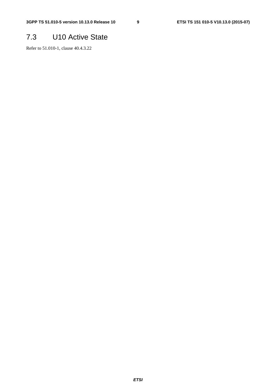### 7.3 U10 Active State

Refer to 51.010-1, clause 40.4.3.22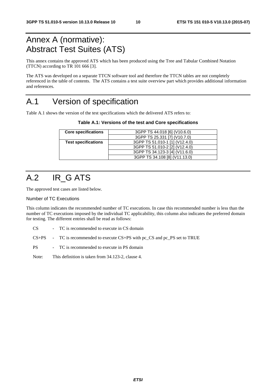### Annex A (normative): Abstract Test Suites (ATS)

This annex contains the approved ATS which has been produced using the Tree and Tabular Combined Notation (TTCN) according to TR 101 666 [3].

The ATS was developed on a separate TTCN software tool and therefore the TTCN tables are not completely referenced in the table of contents. The ATS contains a test suite overview part which provides additional information and references.

### A.1 Version of specification

Table A.1 shows the version of the test specifications which the delivered ATS refers to:

**Table A.1: Versions of the test and Core specifications** 

| 3GPP TS 44.018 [6] (V10.6.0)   |
|--------------------------------|
| 3GPP TS 25.331 [7] (V10.7.0)   |
| 3GPP TS 51.010-1 [1] (V12.4.0) |
| 3GPP TS 51.010-2 [2] (V12.4.0) |
| 3GPP TS 34.123-3 [4] (V11.6.0) |
| 3GPP TS 34.108 [8] (V11.13.0)  |
|                                |

## A.2 IR\_G ATS

The approved test cases are listed below.

#### Number of TC Executions

This column indicates the recommended number of TC executions. In case this recommended number is less than the number of TC executions imposed by the individual TC applicability, this column also indicates the preferred domain for testing. The different entries shall be read as follows:

CS - TC is recommended to execute in CS domain

CS+PS - TC is recommended to execute CS+PS with pc\_CS and pc\_PS set to TRUE

PS - TC is recommended to execute in PS domain

Note: This definition is taken from 34.123-2, clause 4.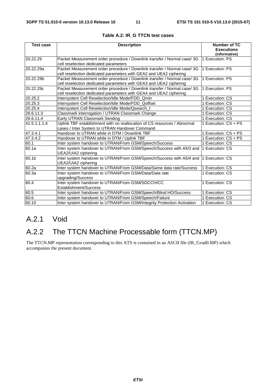| <b>Test case</b> | <b>Description</b>                                                                                                                             | <b>Number of TC</b>  |
|------------------|------------------------------------------------------------------------------------------------------------------------------------------------|----------------------|
|                  |                                                                                                                                                | <b>Executions</b>    |
|                  |                                                                                                                                                | (informative)        |
| 20.22.29         | Packet Measurement order procedure / Downlink transfer / Normal case/ 3G<br>cell reselection dedicated parameters                              | 1 Execution: PS      |
| l20.22.29a       | Packet Measurement order procedure / Downlink transfer / Normal case/ 3G<br>cell reselection dedicated parameters with GEA2 and UEA2 ciphering | 1 Execution: PS      |
| 20.22.29b        | Packet Measurement order procedure / Downlink transfer / Normal case/ 3G<br>cell reselection dedicated parameters with GEA3 and UEA2 ciphering | 1 Execution: PS      |
| 20.22.29c        | Packet Measurement order procedure / Downlink transfer / Normal case/ 3G<br>cell reselection dedicated parameters with GEA4 and UEA2 ciphering | 1 Execution: PS      |
| 20.25.2          | Intersystem Cell Reselection/Idle Mode/FDD_Qmin                                                                                                | 1 Execution: CS      |
| 20.25.3          | Intersystem Cell Reselection/Idle Mode/FDD_Qoffset                                                                                             | 1 Execution: CS      |
| 20.25.4          | Intersystem Cell Reselection/Idle Mode/Qsearch_I                                                                                               | 1 Execution: CS      |
| 26.6.11.3        | Classmark interrogation / UTRAN Classmark Change                                                                                               | 1 Execution: CS      |
| 26.6.11.4        | Early UTRAN Classmark Sending                                                                                                                  | 1 Execution: CS      |
| 41.5.1.1.1.4     | Uplink TBF establishment with no reallocation of CS resources / Abnormal<br>cases / Inter System to UTRAN Handover Command                     | 1 Execution: CS + PS |
| 47.3.4.1         | Handover to UTRAN while in DTM / Downlink TBF                                                                                                  | 1 Execution: CS + PS |
| 47.3.4.2         | Handover to UTRAN while in DTM / Uplink TBF                                                                                                    | 1 Execution: CS + PS |
| 60.1             | Inter system handover to UTRAN/From GSM/Speech/Success                                                                                         | 1 Execution: CS      |
| 60.1a            | Inter system handover to UTRAN/From GSM/Speech/Success with A5/3 and<br>UEA2/UIA2 ciphering                                                    | 1 Execution: CS      |
| 60.1b            | Inter system handover to UTRAN/From GSM/Speech/Success with A5/4 and<br>UEA2/UIA2 ciphering                                                    | 1 Execution: CS      |
| 60.2a            | Inter system handover to UTRAN/From GSM/Data/Same data rate/Success                                                                            | 1 Execution: CS      |
| 60.3a            | Inter system handover to UTRAN/From GSM/Data/Data rate<br>upgrading/Success                                                                    | 1 Execution: CS      |
| 60.4             | Inter system handover to UTRAN/From GSM/SDCCH/CC<br>Establishment/Success                                                                      | 1 Execution: CS      |
| 60.5             | Inter system handover to UTRAN/From GSM/Speech/Blind HO/Success                                                                                | 1 Execution: CS      |
| 60.6             | Inter system handover to UTRAN/From GSM/Speech/Failure                                                                                         | 1 Execution: CS      |
| 60.10            | Inter system handover to UTRAN/From GSM/Integrity Protection Activation                                                                        | 1 Execution: CS      |

#### **Table A.2: IR\_G TTCN test cases**

### A.2.1 Void

### A.2.2 The TTCN Machine Processable form (TTCN.MP)

The TTCN.MP representation corresponding to this ATS is contained in an ASCII file (IR\_Gvad0.MP) which accompanies the present document.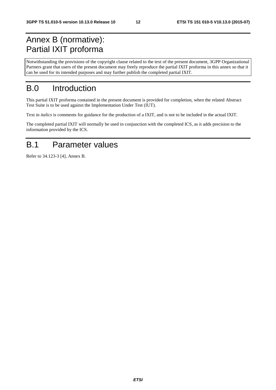## Annex B (normative): Partial IXIT proforma

Notwithstanding the provisions of the copyright clause related to the text of the present document, 3GPP Organizational Partners grant that users of the present document may freely reproduce the partial IXIT proforma in this annex so that it can be used for its intended purposes and may further publish the completed partial IXIT.

## B.0 Introduction

This partial IXIT proforma contained in the present document is provided for completion, when the related Abstract Test Suite is to be used against the Implementation Under Test (IUT).

Text in *italics* is comments for guidance for the production of a IXIT, and is not to be included in the actual IXIT.

The completed partial IXIT will normally be used in conjunction with the completed ICS, as it adds precision to the information provided by the ICS.

### B.1 Parameter values

Refer to 34.123-3 [4], Annex B.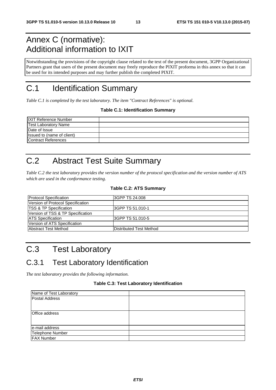## Annex C (normative): Additional information to IXIT

Notwithstanding the provisions of the copyright clause related to the text of the present document, 3GPP Organizational Partners grant that users of the present document may freely reproduce the PIXIT proforma in this annex so that it can be used for its intended purposes and may further publish the completed PIXIT.

## C.1 Identification Summary

*Table C.1 is completed by the test laboratory. The item "Contract References" is optional.* 

#### **Table C.1: Identification Summary**

| <b>IXIT Reference Number</b> |  |
|------------------------------|--|
| <b>Test Laboratory Name</b>  |  |
| Date of Issue                |  |
| Issued to (name of client)   |  |
| Contract References          |  |

## C.2 Abstract Test Suite Summary

*Table C.2 the test laboratory provides the version number of the protocol specification and the version number of ATS which are used in the conformance testing.* 

#### **Table C.2: ATS Summary**

| <b>Protocol Specification</b>     | I3GPP TS 24.008         |
|-----------------------------------|-------------------------|
| Version of Protocol Specification |                         |
| <b>TSS &amp; TP Specification</b> | I3GPP TS 51.010-1       |
| Version of TSS & TP Specification |                         |
| <b>ATS Specification</b>          | 3GPP TS 51.010-5        |
| Version of ATS Specification      |                         |
| <b>Abstract Test Method</b>       | Distributed Test Method |

# C.3 Test Laboratory

### C.3.1 Test Laboratory Identification

*The test laboratory provides the following information.* 

#### **Table C.3: Test Laboratory Identification**

| Name of Test Laboratory |  |
|-------------------------|--|
| <b>Postal Address</b>   |  |
|                         |  |
|                         |  |
| Office address          |  |
|                         |  |
| e-mail address          |  |
| Telephone Number        |  |
| <b>FAX Number</b>       |  |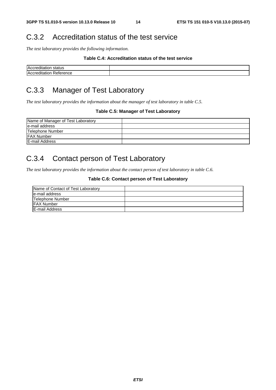#### C.3.2 Accreditation status of the test service

*The test laboratory provides the following information.* 

#### **Table C.4: Accreditation status of the test service**

| $\overline{\phantom{a}}$<br>.<br>IA(<br>sialus |  |
|------------------------------------------------|--|
| $\mathbf{H}$<br>arice –                        |  |

### C.3.3 Manager of Test Laboratory

*The test laboratory provides the information about the manager of test laboratory in table C.5.* 

#### **Table C.5: Manager of Test Laboratory**

| Name of Manager of Test Laboratory |  |
|------------------------------------|--|
| le-mail address                    |  |
| Telephone Number                   |  |
| <b>FAX Number</b>                  |  |
| E-mail Address                     |  |

### C.3.4 Contact person of Test Laboratory

*The test laboratory provides the information about the contact person of test laboratory in table C.6.* 

#### **Table C.6: Contact person of Test Laboratory**

| Name of Contact of Test Laboratory |  |
|------------------------------------|--|
| e-mail address                     |  |
| Telephone Number                   |  |
| <b>FAX Number</b>                  |  |
| E-mail Address                     |  |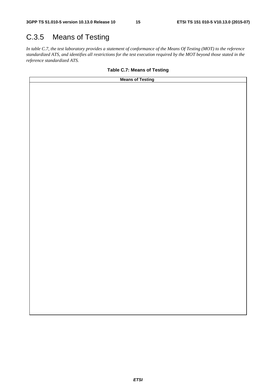## C.3.5 Means of Testing

*In table C.7, the test laboratory provides a statement of conformance of the Means Of Testing (MOT) to the reference standardized ATS, and identifies all restrictions for the test execution required by the MOT beyond those stated in the reference standardized ATS.* 

#### **Table C.7: Means of Testing**

| <b>Means of Testing</b> |  |
|-------------------------|--|
|                         |  |
|                         |  |
|                         |  |
|                         |  |
|                         |  |
|                         |  |
|                         |  |
|                         |  |
|                         |  |
|                         |  |
|                         |  |
|                         |  |
|                         |  |
|                         |  |
|                         |  |
|                         |  |
|                         |  |
|                         |  |
|                         |  |
|                         |  |
|                         |  |
|                         |  |
|                         |  |
|                         |  |
|                         |  |
|                         |  |
|                         |  |
|                         |  |
|                         |  |
|                         |  |
|                         |  |
|                         |  |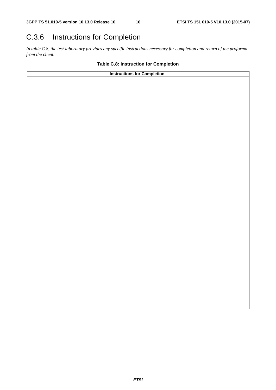## C.3.6 Instructions for Completion

*In table C.8, the test laboratory provides any specific instructions necessary for completion and return of the proforma from the client.* 

#### **Table C.8: Instruction for Completion**

| <b>Instructions for Completion</b> |  |
|------------------------------------|--|
|                                    |  |
|                                    |  |
|                                    |  |
|                                    |  |
|                                    |  |
|                                    |  |
|                                    |  |
|                                    |  |
|                                    |  |
|                                    |  |
|                                    |  |
|                                    |  |
|                                    |  |
|                                    |  |
|                                    |  |
|                                    |  |
|                                    |  |
|                                    |  |
|                                    |  |
|                                    |  |
|                                    |  |
|                                    |  |
|                                    |  |
|                                    |  |
|                                    |  |
|                                    |  |
|                                    |  |
|                                    |  |
|                                    |  |
|                                    |  |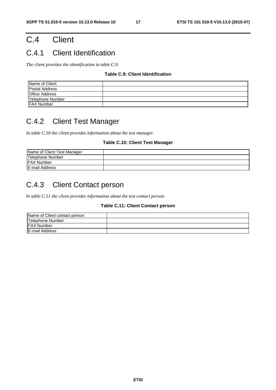## C.4 Client

### C.4.1 Client Identification

*The client provides the identification in table C.9.* 

#### **Table C.9: Client Identification**

| Name of Client        |  |
|-----------------------|--|
| <b>Postal Address</b> |  |
| <b>Office Address</b> |  |
| Telephone Number      |  |
| <b>FAX Number</b>     |  |

### C.4.2 Client Test Manager

*In table C.10 the client provides information about the test manager.* 

#### **Table C.10: Client Test Manager**

| Name of Client Test Manager |  |
|-----------------------------|--|
| Telephone Number            |  |
| <b>IFAX Number</b>          |  |
| <b>E-mail Address</b>       |  |

### C.4.3 Client Contact person

*In table C.11 the client provides information about the test contact person.* 

#### **Table C.11: Client Contact person**

| Name of Client contact person |  |
|-------------------------------|--|
| Telephone Number              |  |
| <b>IFAX Number</b>            |  |
| E-mail Address                |  |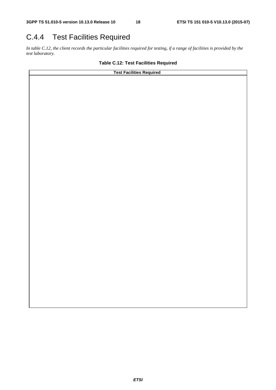### C.4.4 Test Facilities Required

*In table C.12, the client records the particular facilities required for testing, if a range of facilities is provided by the test laboratory.* 

#### **Table C.12: Test Facilities Required**

**Test Facilities Required**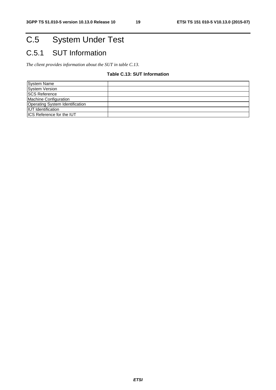# C.5 System Under Test

## C.5.1 SUT Information

*The client provides information about the SUT in table C.13.* 

#### **Table C.13: SUT Information**

| <b>System Name</b>               |  |
|----------------------------------|--|
| <b>System Version</b>            |  |
| <b>SCS Reference</b>             |  |
| Machine Configuration            |  |
| Operating System Identification  |  |
| <b>IUT</b> Identification        |  |
| <b>ICS Reference for the IUT</b> |  |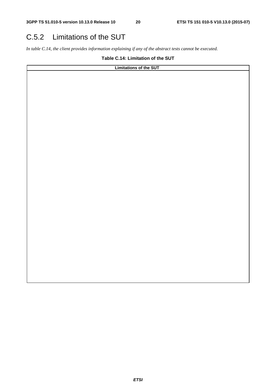### C.5.2 Limitations of the SUT

*In table C.14, the client provides information explaining if any of the abstract tests cannot be executed.* 

**Table C.14: Limitation of the SUT** 

| Limitations of the SUT |  |  |  |  |
|------------------------|--|--|--|--|
|                        |  |  |  |  |
|                        |  |  |  |  |
|                        |  |  |  |  |
|                        |  |  |  |  |
|                        |  |  |  |  |
|                        |  |  |  |  |
|                        |  |  |  |  |
|                        |  |  |  |  |
|                        |  |  |  |  |
|                        |  |  |  |  |
|                        |  |  |  |  |
|                        |  |  |  |  |
|                        |  |  |  |  |
|                        |  |  |  |  |
|                        |  |  |  |  |
|                        |  |  |  |  |
|                        |  |  |  |  |
|                        |  |  |  |  |
|                        |  |  |  |  |
|                        |  |  |  |  |
|                        |  |  |  |  |
|                        |  |  |  |  |
|                        |  |  |  |  |
|                        |  |  |  |  |
|                        |  |  |  |  |
|                        |  |  |  |  |
|                        |  |  |  |  |
|                        |  |  |  |  |
|                        |  |  |  |  |
|                        |  |  |  |  |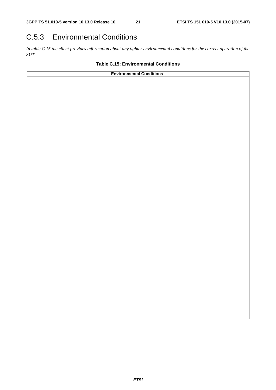### C.5.3 Environmental Conditions

*In table C.15 the client provides information about any tighter environmental conditions for the correct operation of the SUT.* 

#### **Table C.15: Environmental Conditions**

| <b>Environmental Conditions</b> |  |  |  |  |
|---------------------------------|--|--|--|--|
|                                 |  |  |  |  |
|                                 |  |  |  |  |
|                                 |  |  |  |  |
|                                 |  |  |  |  |
|                                 |  |  |  |  |
|                                 |  |  |  |  |
|                                 |  |  |  |  |
|                                 |  |  |  |  |
|                                 |  |  |  |  |
|                                 |  |  |  |  |
|                                 |  |  |  |  |
|                                 |  |  |  |  |
|                                 |  |  |  |  |
|                                 |  |  |  |  |
|                                 |  |  |  |  |
|                                 |  |  |  |  |
|                                 |  |  |  |  |
|                                 |  |  |  |  |
|                                 |  |  |  |  |
|                                 |  |  |  |  |
|                                 |  |  |  |  |
|                                 |  |  |  |  |
|                                 |  |  |  |  |
|                                 |  |  |  |  |
|                                 |  |  |  |  |
|                                 |  |  |  |  |
|                                 |  |  |  |  |
|                                 |  |  |  |  |
|                                 |  |  |  |  |
|                                 |  |  |  |  |
|                                 |  |  |  |  |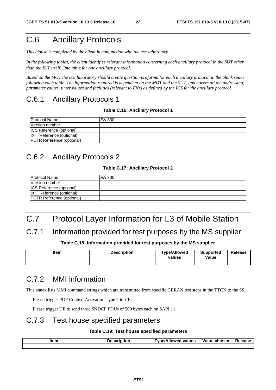## C.6 Ancillary Protocols

*This clause is completed by the client in conjunction with the test laboratory.* 

*In the following tables, the client identifies relevant information concerning each ancillary protocol in the SUT other than the IUT itself. One table for one ancillary protocol.* 

*Based on the MOT the test laboratory should create question proforma for each ancillary protocol in the blank space following each table. The information required is dependent on the MOT and the SUT, and covers all the addressing, parameter values, timer values and facilities (relevant to ENs) as defined by the ICS for the ancillary protocol.* 

#### C.6.1 Ancillary Protocols 1

#### **Table C.16: Ancillary Protocol 1**

| <b>Protocol Name</b>             | EN 300 |
|----------------------------------|--------|
| Version number                   |        |
| <b>ICS Reference (optional)</b>  |        |
| <b>IXIT Reference (optional)</b> |        |
| PCTR Reference (optional)        |        |

#### C.6.2 Ancillary Protocols 2

#### **Table C.17: Ancillary Protocol 2**

| <b>Protocol Name</b>             | EN 300 |
|----------------------------------|--------|
| Version number                   |        |
| <b>ICS Reference (optional)</b>  |        |
| <b>IXIT Reference (optional)</b> |        |
| <b>PCTR Reference (optional)</b> |        |

## C.7 Protocol Layer Information for L3 of Mobile Station

#### C.7.1 Information provided for test purposes by the MS supplier

#### **Table C.18: Information provided for test purposes by the MS supplier**

| ltem | <b>Description</b> | <b>Type/Allowed</b><br>values | <b>Supported</b><br>Value | Release |
|------|--------------------|-------------------------------|---------------------------|---------|
|      |                    |                               |                           |         |

#### C.7.2 MMI information

This annex lists MMI command strings which are transmitted from specific GERAN test steps in the TTCN to the SS.

Please trigger PDP Context Activation Type 2 in UE.

Please trigger UE to send three SNDCP PDUs of 500 bytes each on SAPI 11.

#### C.7.3 Test house specified parameters

#### **Table C.19: Test house specified parameters**

| ltem | Description | <b>Type/Allowed values</b> | Value chosen | Release |  |
|------|-------------|----------------------------|--------------|---------|--|
|      |             |                            |              |         |  |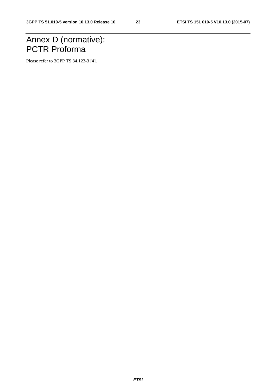## Annex D (normative): PCTR Proforma

Please refer to 3GPP TS 34.123-3 [4].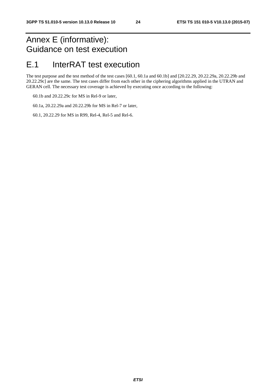### Annex E (informative): Guidance on test execution

### E.1 InterRAT test execution

The test purpose and the test method of the test cases [60.1, 60.1a and 60.1b] and [20.22.29, 20.22.29a, 20.22.29b and 20.22.29c] are the same. The test cases differ from each other in the ciphering algorithms applied in the UTRAN and GERAN cell. The necessary test coverage is achieved by executing once according to the following:

60.1b and 20.22.29c for MS in Rel-9 or later,

60.1a, 20.22.29a and 20.22.29b for MS in Rel-7 or later,

60.1, 20.22.29 for MS in R99, Rel-4, Rel-5 and Rel-6.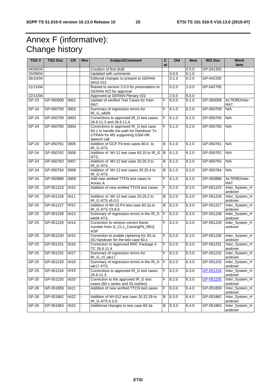## Annex F (informative): Change history

| TSG#     | <b>TSG Doc</b> | <b>CR</b> | Rev                      | Subject/Comment                                                                                                                     | C           | Old   | <b>New</b> | <b>WG Doc</b> | <b>Work</b>                 |
|----------|----------------|-----------|--------------------------|-------------------------------------------------------------------------------------------------------------------------------------|-------------|-------|------------|---------------|-----------------------------|
|          |                |           |                          |                                                                                                                                     | at          |       |            |               | item                        |
| 04/06/04 |                |           |                          | Creation of first draft                                                                                                             |             |       | 0.0.0      | GP-041355     |                             |
| 15/09/04 |                |           |                          | Updated with comments                                                                                                               |             | 0.0.0 | 0.1.0      |               |                             |
| 26/10/04 |                |           |                          | Editorial changes to present to GERAN<br>WG3 #22                                                                                    |             | 0.1.0 | 0.2.0      | GP-042335     |                             |
| 11/11/04 |                |           |                          | Raised to version 2.0.0 for presentation to<br>GERAN #22 for approval                                                               |             | 0.2.0 | 2.0.0      | GP-042795     |                             |
| 12/11/04 |                |           |                          | Approved at GERAN Plenary #22                                                                                                       |             | 2.0.0 | 6.0.0      |               |                             |
| $GP-23$  | GP-050008      | 0001      |                          | Update of verified Test Cases for Inter-<br><b>RAT</b>                                                                              | F           | 6.0.0 | 6.1.0      | GP-050008     | ALTERE/Inter-<br><b>RAT</b> |
| $GP-24$  | GP-050758      | 0002      |                          | Summary of regression errors for<br>IR_G_wk09.                                                                                      | F           | 6.1.0 | 6.2.0      | GP-050758     | N/A                         |
| $GP-24$  | GP-050759      | 0003      |                          | Corrections to approved IR_G test cases<br>26.6.11.3 and 26.6.11.4.                                                                 | F           | 6.1.0 | 6.2.0      | GP-050759     | N/A                         |
| $GP-24$  | GP-050760      | 0004      | $\blacksquare$           | Corrections to approved IR_G test case<br>60.1 to handle the path for Handover To<br>UTRAN for MS supporting GSM HR<br>speech call. | F           | 6.1.0 | 6.2.0      | GP-050760     | N/A                         |
| $GP-24$  | GP-050761      | 0005      |                          | Addition of GCF P4 test cases 60.4 to<br>IR_G ATS.                                                                                  | В           | 6.1.0 | 6.2.0      | GP-050761     | N/A                         |
| $GP-24$  | GP-050762      | 0006      |                          | Addition of WI-12 test case 60.10 to IR_G B<br>ATS.                                                                                 |             | 6.1.0 | 6.2.0      | GP-050762     | N/A                         |
| $GP-24$  | GP-050763      | 0007      |                          | Addition of WI-12 test case 20.25.3 to<br>IR_G ATS.                                                                                 | B           | 6.1.0 | 6.2.0      | GP-050763     | N/A                         |
| $GP-24$  | GP-050764      | 0008      |                          | Addition of WI-12 test cases 20.25.4 to<br>IR_G ATS.                                                                                | B           | 6.1.0 | 6.2.0      | GP-050764     | N/A                         |
| GP-24    | GP-050888      | 0009      |                          | Add new verified TTCN test cases in<br>Annex A                                                                                      | F           | 6.1.0 | 6.2.0      | GP-050888     | ALTERE/Inter-<br>RAT        |
| $GP-25$  | GP-051223      | 0010      | ä,                       | Addition of new verified TTCN test cases                                                                                            | F           | 6.2.0 | 6.3.0      | GP-051223     | Inter_System_H<br>andover   |
| $GP-25$  | GP-051226      | 0011      | $\overline{a}$           | Addition of WI-12 test case 20.25.2 to<br>IR_G ATS v5.0.0                                                                           | В           | 6.2.0 | 6.3.0      | GP-051226     | Inter_System_H<br>andover   |
| GP-25    | GP-051227      | 0012      |                          | Addition of WI-10 P4 test case 60.2a to<br>IR_G ATS V3.8.0.                                                                         | B           | 6.2.0 | 6.3.0      | GP-051227     | Inter_System_H<br>andover   |
| $GP-25$  | GP-051228      | 0013      | $\blacksquare$           | Summary of regression errors in the IR_G<br>wk09 ATS.                                                                               | ĪF          | 6.2.0 | 6.3.0      | GP-051228     | Inter_System_H<br>andover   |
| GP-25    | GP-051229      | 0014      |                          | Correction to retrieve correct frame<br>number from G_CL1_ComingFN_REQ<br><b>ASP</b>                                                | F           | 6.2.0 | 6.3.0      | GP-051229     | Inter_System_H<br>andover   |
| GP-25    | GP-051230      | 0015      |                          | Correction to enable ciphering for 2G to<br>3G handover for the test case 60.1                                                      | F           | 6.2.0 | 6.3.0      | GP-051230     | Inter_System_H<br>andover   |
| $GP-25$  | GP-051231      | 0016      | $\blacksquare$           | Correction to Approved RRC Package 4<br>TC 26.6.11.4                                                                                | F           | 6.2.0 | 6.3.0      | GP-051231     | Inter_System_H<br>andover   |
| GP-25    | GP-051232      | 0017      |                          | Summary of regression errors for<br>IR_G_r3_wk17.                                                                                   | F           | 6.2.0 | 6.3.0      | GP-051232     | Inter_System_H<br>andover   |
| GP-25    | GP-051233      | 0018      |                          | Summary of regression errors in the IR_G<br>wk17 ATS.                                                                               | F           | 6.2.0 | 6.3.0      | GP-051233     | Inter_System_H<br>andover   |
| $GP-25$  | GP-051234      | 0019      |                          | Corrections to approved IR_G test cases<br>26.6.11.3                                                                                | $\mathsf F$ | 6.2.0 | 6.3.0      | GP-051234     | Inter_System_H<br>andover   |
| $GP-25$  | GP-051235      | 0020      | $\overline{\phantom{a}}$ | Correction to the approved IR_G test<br>cases (60.x series and 20.xseries)                                                          | F           | 6.2.0 | 6.3.0      | GP-051235     | Inter_System_H<br>andover   |
| GP-26    | GP-051859      | 0021      |                          | Addition of new verified TTCN test cases                                                                                            | F           | 6.3.0 | 6.4.0      | GP-051859     | Inter_System_H<br>andover   |
| GP-26    | GP-051862      | 0022      |                          | Addition of WI-012 test case 20.22.29 to<br>IR_G ATS 6.3.0.                                                                         | в           | 6.3.0 | 6.4.0      | GP-051862     | Inter_System_H<br>andover   |
| GP-26    | GP-051863      | 0023      |                          | Additional changes to test case 60.3a                                                                                               | В           | 6.3.0 | 6.4.0      | GP-051863     | Inter_System_H<br>andover   |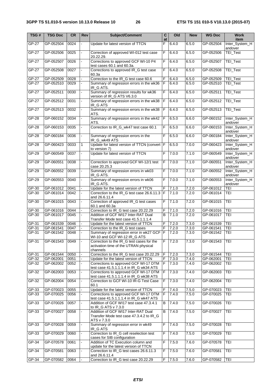| TSG#    | <b>TSG Doc</b> | CR   | Rev            | <b>Subject/Comment</b>                                                                         | $\overline{\mathbf{c}}$<br>at | Q     | <b>New</b> | <b>WG Doc</b> | <b>Work</b><br>item       |
|---------|----------------|------|----------------|------------------------------------------------------------------------------------------------|-------------------------------|-------|------------|---------------|---------------------------|
| $GP-27$ | GP-052504      | 0024 |                | Update for latest version of TTCN                                                              | F                             | 6.4.0 | 6.5.0      | GP-052504     | Inter_System_H<br>andover |
| $GP-27$ | GP-052506      | 0025 |                | Correction of approved WI-012 test case<br>20.22.29.                                           | F                             | 6.4.0 | 6.5.0      | GP-052506     | <b>TEI_Test</b>           |
| $GP-27$ | GP-052507      | 0026 | ÷.             | Corrections to approved GCF WI-10 P4<br>test cases 60.1 and 60.3a.                             | F                             | 6.4.0 | 6.5.0      | GP-052507     | TEI_Test                  |
| GP-27   | GP-052508      | 0027 |                | Corrections to approved IR_G test case<br>60.3a                                                | F                             | 6.4.0 | 6.5.0      | GP-052508     | <b>TEI_Test</b>           |
| GP-27   | GP-052509      | 0028 |                | Correction to the IR_G test case 60.6                                                          | F                             | 6.4.0 | 6.5.0      | GP-052509     | TEI_Test                  |
| $GP-27$ | GP-052510      | 0029 |                | Summary of regression errors in the wk36                                                       | $\overline{F}$                | 6.4.0 | 6.5.0      | GP-052510     | TEI_Test                  |
|         |                |      |                | IR_G ATS.                                                                                      |                               |       |            |               |                           |
| $GP-27$ | GP-052511      | 0030 | ÷.             | Summary of regression results for wk36<br>version of IR_G ATS V6.3.0                           | F                             | 6.4.0 | 6.5.0      | GP-052511     | TEI_Test                  |
| $GP-27$ | GP-052512      | 0031 |                | Summary of regression errors in the wk38<br>IR_G ATS                                           | F                             | 6.4.0 | 6.5.0      | GP-052512     | <b>TEI_Test</b>           |
| $GP-27$ | GP-052513      | 0032 |                | Summary of regression errors in the wk38<br>ATS.                                               | F                             | 6.4.0 | 6.5.0      | GP-052513     | TEI_Test                  |
| GP-28   | GP-060152      | 0034 | ÷.             | Summary of regression errors in the wk42<br>ATS.                                               | F                             | 6.5.0 | 6.6.0      | GP-060152     | Inter_System_H<br>andover |
| $GP-28$ | GP-060153      | 0035 | ä,             | Correction to IR_G_wk47 test case 60.1                                                         | F                             | 6.5.0 | 6.6.0      | GP-060153     | Inter_System_H<br>andover |
| $GP-28$ | GP-060184      | 0036 |                | Summary of regression errors in the<br>IR_G_wk49 ATS                                           | F                             | 6.5.0 | 6.6.0      | GP-060184     | Inter_System_H<br>andover |
| $GP-28$ | GP-060423      | 0033 | $\mathbf{1}$   | Update for latest version of TTCN (convert   F<br>to version 7)                                |                               | 6.5.0 | 7.0.0      | GP-060423     | Inter_System_H<br>andover |
| $GP-29$ | GP-060549      | 0037 | L.             | Update for latest version of TTCN                                                              | F                             | 7.0.0 | 7.1.0      | GP-060549     | Inter_System_H<br>andover |
| $GP-29$ | GP-060551      | 0038 |                | Correction to approved GCF WI-12/1 test<br>case 20.25.3                                        | $\mathsf F$                   | 7.0.0 | 7.1.0      | GP-060551     | Inter_System_H<br>andover |
| $GP-29$ | GP-060552      | 0039 |                | Summary of regression errors in wk03<br>IR_G ATS.                                              | F                             | 7.0.0 | 7.1.0      | GP-060552     | Inter_System_H<br>andover |
| $GP-29$ | GP-060553      | 0040 | $\blacksquare$ | Summary of regression errors in wk06<br>IR_G ATS.                                              | F                             | 7.0.0 | 7.1.0      | GP-060553     | Inter_System_H<br>andover |
| GP-30   | GP-061012      | 0041 |                | Update for the latest version of TTCN                                                          | F                             | 7.1.0 | 7.2.0      | GP-061012     | TEI                       |
| GP-30   | GP-061014      | 0042 |                | Correction to the IR_G test case 26.6.11.3 F<br>and 26.6.11.4                                  |                               | 7.1.0 | 7.2.0      | GP-061014     | <b>TEI</b>                |
| $GP-30$ | GP-061015      | 0043 | ä,             | Correction of approved IR_G test cases<br>60.1 and 60.3a                                       | F                             | 7.1.0 | 7.2.0      | GP-061015     | TEI                       |
| GP-30   | GP-061016      | 0044 |                | Correction to IR_G test case 20.22.29                                                          | F                             | 7.1.0 | 7.2.0      | GP-061016     | TEI                       |
| GP-30   | GP-061017      | 0045 |                | Addition of GCF WI17 Inter-RAT Dual                                                            | $\overline{B}$                | 7.1.0 | 7.2.0      | GP-061017     | TEI                       |
|         |                |      |                | Transfer Mode test case 41.5.1.1.1.4                                                           |                               |       |            |               |                           |
| GP-31   | GP-061539      | 0046 |                | Update for the latest version of TTCN                                                          | F                             | 7.2.0 | 7.3.0      | GP-061539     | TEI                       |
| GP-31   | GP-061541      | 0047 |                | Correction to the IR_G test cases                                                              | F                             | 7.2.0 | 7.30       | GP-061541     | <b>TEI</b>                |
| GP-31   | GP-061542      | 0048 |                | Summary of regression error in wk27 GCF<br>WI-10 and GCF WI-12 IR_G ATS                        | F                             | 7.2.0 | 7.3.0      | GP-061542     | <b>TEI</b>                |
| GP-31   | GP-061543      | 0049 |                | Correction to the IR_G test cases for the<br>activation time of the UTRAN physical<br>channels | F.                            | 7.2.0 | 7.3.0      | GP-061543     | <b>TEI</b>                |
| GP-31   | GP-061544      | 0050 |                | Correction to the IR_G test case 20.22.29                                                      | F                             | 7.2.0 | 7.3.0      | GP-061544     | TEI                       |
| GP-32   | GP-062001      | 0051 |                | Update for the latest version of TTCN                                                          | $\overline{F}$                | 7.3.0 | 7.4.0      | GP-062001     | TEI                       |
| GP-32   | GP-062002      | 0052 |                | Corrections to approved GCF WI-17 DTM<br>test case 41.5.1.1.1.4 in IR_G wk34 ATS               | F                             | 7.3.0 | 7.4.0      | GP-062002     | TEI                       |
| $GP-32$ | GP-062003      | 0053 |                | Corrections to approved GCF WI-17 DTM<br>test case 41.5.1.1.1.4 in IR_G wk38 ATS               | $\mathsf F$                   | 7.3.0 | 7.4.0      | GP-062003     | <b>TEI</b>                |
| GP-32   | GP-062004      | 0054 | ä,             | Correction to GCF WI-10 IR-G Test Case<br>60.1                                                 | F                             | 7.3.0 | 7.4.0      | GP-062004     | <b>TEI</b>                |
| GP-33   | GP-070023      | 0055 |                | Update for the latest version of TTCN                                                          | F                             | 7.4.0 | 7.5.0      | GP-070023     | TEI                       |
| GP-33   | GP-070025      | 0056 |                | Corrections to approved GCF WI-17 DTM<br>test case 41.5.1.1.1.4 in IR_G wk47 ATS               | F                             | 7.4.0 | 7.5.0      | GP-070025     | <b>TEI</b>                |
| GP-33   | GP-070026      | 0057 | ÷.             | Addition of GCF WI17 test case 47.3.4.1<br>to IR_G ATS v 7.3.0                                 | B                             | 7.4.0 | 7.5.0      | GP-070026     | TEI                       |
| $GP-33$ | GP-070027      | 0058 | ä,             | Addition of GCF WI17 Inter-RAT Dual<br>Transfer Mode test case 47.3.4.2 to IR_G<br>ATS v 7.3.0 | B                             | 7.4.0 | 7.5.0      | GP-070027     | TEI                       |
| GP-33   | GP-070028      | 0059 |                | Summary of regression error in wk49<br>IR_G ATS                                                | $\mathsf F$                   | 7.4.0 | 7.5.0      | GP-070028     | <b>TEI</b>                |
| $GP-33$ | GP-070029      | 0060 | ÷.             | Correction to IR_G cell reselection test<br>cases for SIB configuration                        | $\overline{F}$                | 7.4.0 | 7.5.0      | GP-070029     | TEI                       |
| GP-34   | GP-070578      | 0061 | $\blacksquare$ | Addition of TC Execution column and<br>update for the latest version of TTCN                   | F                             | 7.5.0 | 7.6.0      | GP-070578     | TEI                       |
| GP-34   | GP-070581      | 0063 |                | Correction to IR_G test cases 26.6.11.3<br>and 26.6.11.4                                       | $\overline{F}$                | 7.5.0 | 7.6.0      | GP-070581     | TEI                       |
| GP-34   | GP-070582      | 0064 |                | Correction to IR_G test case 20.22.29                                                          | F                             | 7.5.0 | 7.6.0      | GP-070582     | <b>TEI</b>                |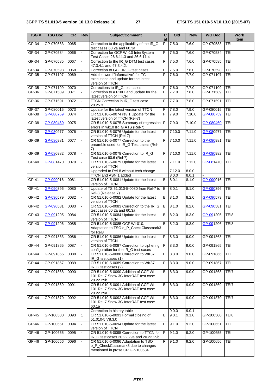| TSG#    | <b>TSG Doc</b> | CR   | Rev                      | <b>Subject/Comment</b>                                                                                      | $\mathbf c$<br>at | Old    | <b>New</b> | <b>WG Doc</b> | <b>Work</b><br>item |
|---------|----------------|------|--------------------------|-------------------------------------------------------------------------------------------------------------|-------------------|--------|------------|---------------|---------------------|
| $GP-34$ | GP-070583      | 0065 | L.                       | Correction to the applicability of the IR_G<br>test cases 60.2a and 60.3a                                   | F                 | 7.5.0  | 7.6.0      | GP-070583     | TEI                 |
| $GP-34$ | GP-070584      | 0066 | $\overline{\phantom{a}}$ | Correction for GCF WI-10 InterSystem<br>Test Cases 26.6.11.3 and 26.6.11.4                                  | F                 | 7.5.0  | 7.6.0      | GP-070584     | TEI                 |
| GP-34   | GP-070585      | 0067 | $\mathbf{r}$             | Correction to the IR_G DTM test cases<br>47.3.4.1 and 47.3.4.2.                                             | F                 | 7.5.0  | 7.6.0      | GP-070585     | TEI                 |
| GP-34   | GP-070598      | 0068 |                          | Correction to GCF IR_G test cases                                                                           | F                 | 7.5.0  | 7.6.0      | GP-070598     | <b>TEI</b>          |
| GP-35   | GP-071107      | 0069 | ÷.                       | Add the word "informative" for TC<br>executions and update for the latest<br>version of TTCN                | F                 | 7.6.0  | 7.7.0      | GP-071107     | TEI                 |
| GP-35   | GP-071109      | 0070 |                          | Corrections to IR_G test cases                                                                              | F                 | 7.6.0  | 7.7.0      | GP-071109     | <b>TEI</b>          |
| GP-36   | GP-071589      | 0071 |                          | Correction to a PIXIT and update for the<br>latest version of TTCN                                          | F                 | 7.7.0  | 7.8.0      | GP-071589     | TEI                 |
| $GP-36$ | GP-071591      | 0072 | $\blacksquare$           | TTCN Correction in IR_G test case<br>20.25.3                                                                | F                 | 7.7.0  | 7.8.0      | GP-071591     | TEI                 |
| $GP-37$ | GP-080015      | 0073 |                          | Update for the latest version of TTCN                                                                       | F                 | 7.8.0  | 7.9.0      | GP-080015     | TEI                 |
| GP-38   | GP-080759      | 0074 |                          | CR 51.010-5-0074 rev 1 Update for the<br>latest version of TTCN (Rel-7)                                     | F                 | 7.9.0  | 7.10.0     | GP-080759     | TEI                 |
| $GP-38$ | GP-080460      | 0075 |                          | CR 51.010-5-0075 Summary of regression F<br>errors in wk10 IR_G ATS (Rel-7)                                 |                   | 7.9.0  | 7.10.0     | GP-080460     | <b>TEI</b>          |
| GP-39   | GP-080977      | 0076 | $\blacksquare$           | CR 51.010-5-0076 Update for the latest<br>version of TTCN (Rel-7)                                           | F                 | 7.10.0 | 7.11.0     | GP-080977     | TEI                 |
| GP-39   | GP-080981      | 0077 |                          | CR 51.010-5-0077 Correction to the<br>preamble used for IR_G Test cases (Rel-<br>7)                         | F                 | 7.10.0 | 7.11.0     | GP-080981     | TEI                 |
| GP-39   | GP-080982      | 0078 |                          | CR 51.010-5-0078 Correction to IR_G<br>Test case 60.6 (Rel-7)                                               | F                 | 7.10.0 | 7.11.0     | GP-080982     | TEI                 |
| GP-40   | GP-081470      | 0079 | $\blacksquare$           | CR 51.010-5-0079 Update for the latest<br>version of TTCN                                                   | F                 | 7.11.0 | 7.12.0     | GP-081470     | <b>TEI</b>          |
|         |                |      |                          | Upgraded to Rel-8 without tech change                                                                       |                   | 7.12.0 | 8.0.0      |               |                     |
|         |                |      |                          | TTCN and ASN.1 added                                                                                        |                   | 8.0.0  | 8.0.1      |               |                     |
| GP-41   | GP-090016      | 0081 | ÷,                       | CR 51.010-5-0081 Update for the latest<br>version of TTCN                                                   | $\sf B$           | 8.0.1  | 8.1.0      | GP-090016     | <b>TEI</b>          |
| GP-41   | GP-090396      | 0080 | $\mathbf{1}$             | Update of TS 51.010-5-0080 from Rel-7 to<br>Rel-8 (Release 7)                                               | B                 | 8.0.1  | 8.1.0      | GP-090396     | <b>TEI</b>          |
| GP-42   | GP-090579      | 0082 | $\overline{\phantom{a}}$ | CR 51.010-5-0082 Update for the latest<br>version of TTCN                                                   | $\overline{B}$    | 8.1.0  | 8.2.0      | GP-090579     | TEI                 |
| $GP-42$ | GP-090581      | 0083 |                          | CR 51.010-5-0083 Correction to the IR_G<br>test cases 60.2a and 60.3a                                       | В                 | 8.1.0  | 8.2.0      | GP-090581     | TEI                 |
| GP-43   | GP-091205      | 0084 | $\blacksquare$           | CR 51.010-5-0084 Update for the latest<br>version of TTCN                                                   | B                 | 8.2.0  | 8.3.0      | GP-091205     | TEI8                |
| $GP-43$ | GP-091206      | 0085 |                          | CR 51.010-5-0085 GCF WI-010:<br>Adaptation to TSO o_P_CheckClassmark3<br>for Rel8                           | B                 | 8.2.0  | 8.3.0      | GP-091206     | TEI8                |
| $GP-44$ | GP-091863      | 0086 |                          | CR 51.010-5-0086 Update for the latest<br>version of TTCN                                                   | F                 | 8.3.0  | 9.0.0      | GP-091863     | TEI                 |
| GP-44   | GP-091865      | 0087 |                          | CR 51.010-5-0087 Correction to ciphering<br>configuration for the IR_G test cases                           | F                 | 8.3.0  | 9.0.0      | GP-091865     | <b>TEI</b>          |
| GP-44   | GP-091866      | 0088 |                          | CR 51.010-5-0088 Correction to WK37<br>IR_G test cases (1)                                                  | F                 | 8.3.0  | 9.0.0      | GP-091866     | TEI                 |
| $GP-44$ | GP-091867      | 0089 |                          | CR 51.010-5-0089 Correction to WK37<br>IR_G test cases (2)                                                  | F                 | 8.3.0  | 9.0.0      | GP-091867     | TEI                 |
| $GP-44$ | GP-091868      | 0090 |                          | CR 51.010-5-0090 Addition of GCF WI<br>101 Rel-7 Snow 3G InterRAT test case<br>20.22.29b                    | $\overline{B}$    | 8.3.0  | 9.0.0      | GP-091868     | TEI7                |
| GP-44   | GP-091869      | 0091 |                          | CR 51.010-5-0091 Addition of GCF WI<br>101 Rel-7 Snow 3G InterRAT test case<br>20.22.29a                    | В                 | 8.3.0  | 9.0.0      | GP-091869     | TEI7                |
| $GP-44$ | GP-091870      | 0092 |                          | CR 51.010-5-0092 Addition of GCF WI<br>101 Rel-7 Snow 3G InterRAT test case<br>60.1a                        | B                 | 8.3.0  | 9.0.0      | GP-091870     | TEI7                |
|         |                |      |                          | Correction in history table                                                                                 | ä,                | 9.0.0  | 9.0.1      |               |                     |
| $GP-45$ | GP-100500      | 0093 | 1                        | CR 51.010-5-0093 Formal closing of<br>51.010-5 V8.3.0                                                       | В                 | 9.0.1  | 9.1.0      | GP-100500     | TEI8                |
| GP-46   | GP-100651      | 0094 |                          | CR 51.010-5-0094 Update for the latest<br>version of TTCN                                                   | F                 | 9.1.0  | 9.2.0      | GP-100651     | TEI                 |
| $GP-46$ | GP-100655      | 0095 |                          | CR 51.010-5-0095 Correction to TTCN for<br>IR_G test cases 20.22.29a and 20.22.29b                          | $\overline{F}$    | 9.1.0  | 9.2.0      | GP-100655     | TEI                 |
| $GP-46$ | GP-100656      | 0096 | $\blacksquare$           | CR 51.010-5-0096 Adaptation to TSO<br>o_P_CheckClassmark3 due to changes<br>mentioned in prose CR GP-100534 | F                 | 9.1.0  | 9.2.0      | GP-100656     | <b>TEI</b>          |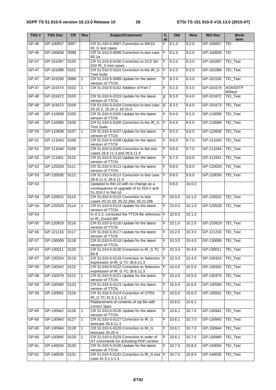| TSG#         | <b>TSG Doc</b> | CR   | Rev            | Subject/Comment                                                                                        | $\overline{c}$<br>at | Old    | <b>New</b> | <b>WG Doc</b> | <b>Work</b><br>item       |
|--------------|----------------|------|----------------|--------------------------------------------------------------------------------------------------------|----------------------|--------|------------|---------------|---------------------------|
| $GP-46$      | GP-100657      | 0097 |                | CR 51.010-5-0097 Correction to WK10<br>IR_G test cases                                                 | F                    | 9.1.0  | 9.2.0      | GP-100657     | TEI                       |
| $GP-46$      | GP-100658      | 0098 |                | CR 51.010-5-0098 Correction to test case<br>60.1a                                                      | $\overline{F}$       | 9.1.0  | 9.2.0      | GP-100658     | TEI                       |
| <b>GP-47</b> | GP-101097      | 0100 | $\omega$       | CR 51.010-5-0100 Correction to GCF WI-<br>010 IR_G test cases                                          | $\overline{F}$       | 9.2.0  | 9.3.0      | GP-101097     | TEI_Test                  |
| GP-47        | GP-101098      | 0101 |                | CR 51.010-5-0101 Correction to the IR_G<br><b>Test Suite</b>                                           | E                    | 9.2.0  | 9.3.0      | GP-101098     | TEI_Test                  |
| $GP-47$      | GP-101530      | 0099 | 1              | CR 51.010-5-0099 Update for the latest<br>version of TTCN                                              | F                    | 9.2.0  | 9.3.0      | GP-101530     | <b>TEI_Test</b>           |
| GP-47        | GP-101574      | 0102 | $\mathbf{1}$   | CR 51.010-5-0102 Addition of Part 7                                                                    | F                    | 9.2.0  | 9.3.0      | GP-101574     | AGNSSTP-<br><b>MStest</b> |
| $GP-48$      | GP-101672      | 0103 |                | CR 51.010-5-0103 Update for the latest<br>version of TTCN                                              | F                    | 9.3.0  | 9.4.0      | GP-101672     | TEI_Test                  |
| $GP-48$      | GP-101673      | 0104 |                | CR 51.010-5-0104 Correction to test case<br>20.25.2, 20.25.3, 20.25.4                                  | E                    | 9.3.0  | 9.4.0      | GP-101673     | TEI_Test                  |
| $GP-49$      | GP-110058      | 0105 |                | CR 51.010-5-0105 Update for the latest<br>version of TTCN                                              | F                    | 9.4.0  | 9.5.0      | GP-110058     | <b>TEI_Test</b>           |
| $GP-49$      | GP-110068      | 0106 |                | CR 51.010-5-0106 Correction to the IR_G<br><b>Test Suite</b>                                           | F                    | 9.4.0  | 9.5.0      | GP-110068     | <b>TEI_Test</b>           |
| $GP-50$      | GP-110838      | 0107 | $\mathbf{1}$   | CR 51.010-5-0107 Update for the latest<br>version of TTCN                                              | F                    | 9.5.0  | 9.6.0      | GP-110838     | <b>TEI_Test</b>           |
| $GP-51$      | GP-111043      | 0108 |                | CR 51.010-5-0108 Update for the latest<br>version of TTCN                                              | F                    | 9.6.0  | 9.7.0      | GP-111043     | <b>TEI_Test</b>           |
| GP-51        | GP-111044      | 0109 |                | CR 51.010-5-0109 Correction to the test<br>cases 26.6.11.3 and 26.6.11.4                               | F                    | 9.6.0  | 9.7.0      | GP-111044     | TEI_Test                  |
| GP-52        | GP-111501      | 0110 |                | CR 51.010-5-0110 Update for the latest<br>version of TTCN                                              | F                    | 9.7.0  | 9.8.0      | GP-111501     | TEI_Test                  |
| $GP-53$      | GP-120029      | 0111 |                | CR 51.010-5-0111 Update for the latest<br>version of TTCN                                              | F                    | 9.8.0  | 9.9.0      | GP-120029     | TEI_Test                  |
| $GP-53$      | GP-120030      | 0112 |                | CR 51.010-5-0112 Correction to test case<br>26.6.11.3, 26.6.11.4                                       | $\overline{F}$       | 9.8.0  | 9.9.0      | GP-120030     | TEI_Test                  |
| $GP-53$      |                |      |                | Updated to Rel-10 with no change as a<br>consequence of upgrade of 51.010-1 and<br>51.010-2 to Rel-10. |                      | 9.9.0  | 10.0.0     |               |                           |
| $GP-54$      | GP-120522      | 0115 |                | CR 51.010-5-0115 Correction to test<br>cases 20.22.29, 20.22.29a, 20.22.29b                            | F                    | 10.0.0 | 10.1.0     | GP-120522     | TEI_Test                  |
| $GP-54$      | GP-120529      | 0114 | $\mathbf{1}$   | CR 51.010-5-0114 Update for the latest<br>version of TTCN                                              | F                    | 10.0.0 | 10.1.0     | GP-120529     | TEI_Test                  |
| $GP-54$      |                |      |                | In A.2.2, corrected the TTCN file reference F<br>to IR_Gva10.MP.                                       |                      | 10.0.0 | 10.1.0     |               | $\overline{a}$            |
| $GP-55$      | GP-120819      | 0116 |                | CR 51.010-5-0116 Update for the latest<br>version of TTCN                                              | F                    | 10.1.0 | 10.2.0     | GP-120819     | TEI_Test                  |
| GP-56        | GP-121216      | 0117 |                | CR 51.010-5-0117 Update for the latest<br>version of TTCN                                              | F                    | 10.2.0 | 10.3.0     | GP-121216     | TEI_Test                  |
| GP-57        | GP-130009      | 0118 |                | CR 51.010-5-0118 Update for the latest<br>version of TTCN                                              | F                    | 10.3.0 | 10.4.0     | GP-130009     | TEI_Test                  |
| $GP-57$      | GP-130011      | 0120 |                | CR 51.010-5-0120 Correction to IR_G TC<br>60.6                                                         | F                    | 10.3.0 | 10.4.0     | GP-130011     | <b>TEI_Test</b>           |
| GP-57        | GP-130324      | 0119 | $\mathbf{1}$   | CR 51.010-5-0119 Correction to Selection<br>expression of IR_G TC 26.6.11.3                            | F                    | 10.3.0 | 10.4.0     | GP-130324     | TEI_Test                  |
| $GP-58$      | GP-130342      | 0122 | $\blacksquare$ | CR 51.010-5-0122 Correction to Selection<br>expression of IR_G TC 26.6.11.3                            | $\overline{F}$       | 10.4.0 | 10.5.0     | GP-130342     | TEI_Test                  |
| GP-58        | GP-130379      | 0121 | $\mathbf{1}$   | CR 51.010-5-0121 Update for the latest<br>version of TTCN                                              | F                    | 10.4.0 | 10.5.0     | GP-130379     | <b>TEI_Test</b>           |
| GP-59        | GP-130590      | 0123 |                | CR 51.010-5-0123 Update for the latest<br>version of TTCN                                              | F                    | 10.5.0 | 10.6.0     | GP-130590     | TEI_Test                  |
| GP-59        | GP-130591      | 0124 | $\blacksquare$ | CR 51.010-5-0124 Correction of UTRA<br>IR_G TC 41.5.1.1.1.4                                            | F                    | 10.5.0 | 10.6.0     | GP-130591     | <b>TEI_Test</b>           |
|              |                |      |                | Replacement of contents of zip file with<br>correct Spec                                               |                      | 10.6.0 | 10.6.1     |               |                           |
| $GP-60$      | GP-130942      | 0126 | $\mathbf{1}$   | CR 51.010-5-0126 Update for the latest<br>version of TTCN                                              | F                    | 10.6.1 | 10.7.0     | GP-130942     | TEI_Test                  |
| $GP-60$      | GP-130943      | 0127 | $\mathbf{1}$   | CR 51.010-5-0127 Correction to IR_G<br>testcase 26.6.11.3                                              | F                    | 10.6.1 | 10.7.0     | GP-130943     | TEI_Test                  |
| $GP-60$      | GP-130944      | 0128 | $\mathbf{1}$   | CR 51.010-5-0128 Correction to IR_G<br>testcase 20.25.4                                                | F                    | 10.6.1 | 10.7.0     | GP-130944     | TEI_Test                  |
| GP-60        | GP-130945      | 0129 | $\mathbf{1}$   | CR 51.010-5-0129 Correction in order of<br>AT commands for activating PDP context                      | F                    | 10.6.1 | 10.7.0     | GP-130945     | TEI_Test                  |
| GP-61        | GP-140034      | 0130 |                | CR 51.010-5-0130 Update for the latest<br>version of TTCN                                              | F                    | 10.7.0 | 10.8.0     | GP-140034     | TEI_Test                  |
| $GP-61$      | GP-140035      | 0131 |                | CR 51.010-5-0131 Correction to IR_G test  F<br>case 41.5.1.1.1.4                                       |                      | 10.7.0 | 10.8.0     | GP-140035     | TEI_Test                  |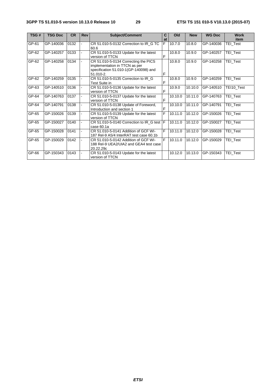| TSG#  | <b>TSG Doc</b> | <b>CR</b> | <b>Rev</b> | <b>Subject/Comment</b>                                                                                                      | С<br>at | Old     | <b>New</b> | <b>WG Doc</b> | <b>Work</b><br>item |
|-------|----------------|-----------|------------|-----------------------------------------------------------------------------------------------------------------------------|---------|---------|------------|---------------|---------------------|
| GP-61 | GP-140036      | 0132      |            | CR 51.010-5-0132 Correction to IR G TC<br>60.6                                                                              | F       | 10.7.0  | 10.8.0     | GP-140036     | TEI_Test            |
| GP-62 | GP-140257      | 0133      |            | CR 51.010-5-0133 Update for the latest<br>version of TTCN                                                                   | F       | 10.8.0  | 10.9.0     | GP-140257     | TEI Test            |
| GP-62 | GP-140258      | 0134      |            | CR 51.010-5-0134 Correcting the PICS<br>implementation in TTCN as per<br>specification 51.010-1(GP-140098) and<br>51.010-2. | F       | 10.8.0  | 10.9.0     | GP-140258     | TEI Test            |
| GP-62 | GP-140259      | 0135      |            | CR 51.010-5-0135 Correction to IR G<br>Test Suite in                                                                        | F       | 10.8.0  | 10.9.0     | GP-140259     | TEI Test            |
| GP-63 | GP-140510      | 0136      |            | CR 51.010-5-0136 Update for the latest<br>version of TTCN                                                                   | F       | 10.9.0  | 10.10.0    | GP-140510     | TEI10_Test          |
| GP-64 | GP-140763      | 0137      |            | CR 51.010-5-0137 Update for the latest<br>version of TTCN                                                                   | E       | 10.10.0 | 10.11.0    | GP-140763     | TEI Test            |
| GP-64 | GP-140791      | 0138      |            | CR 51.010-5-0138 Update of Foreword,<br>Introduction and section 1                                                          | F       | 10.10.0 | 10.11.0    | GP-140791     | <b>TEI Test</b>     |
| GP-65 | GP-150026      | 0139      |            | CR 51.010-5-0139 Update for the latest<br>version of TTCN                                                                   | F       | 10.11.0 | 10.12.0    | GP-150026     | TEI Test            |
| GP-65 | GP-150027      | 0140      |            | CR 51.010-5-0140 Correction to IR_G test   F<br>case 60.1a                                                                  |         | 10.11.0 | 10.12.0    | GP-150027     | TEI Test            |
| GP-65 | GP-150028      | 0141      |            | CR 51.010-5-0141 Addition of GCF WI-<br>187 Rel-9 A5/4 InterRAT test case 60.1b                                             | F       | 10.11.0 | 10.12.0    | GP-150028     | TEI Test            |
| GP-65 | GP-150029      | 0142      |            | CR 51.010-5-0142 Addition of GCF WI-<br>188 Rel-9 UEA2/UIA2 and GEA4 test case<br>20.22.29c                                 | F       | 10.11.0 | 10.12.0    | GP-150029     | TEI Test            |
| GP-66 | GP-150343      | 0143      |            | CR 51.010-5-0143 Update for the latest<br>version of TTCN                                                                   |         | 10.12.0 | 10.13.0    | GP-150343     | TEI Test            |